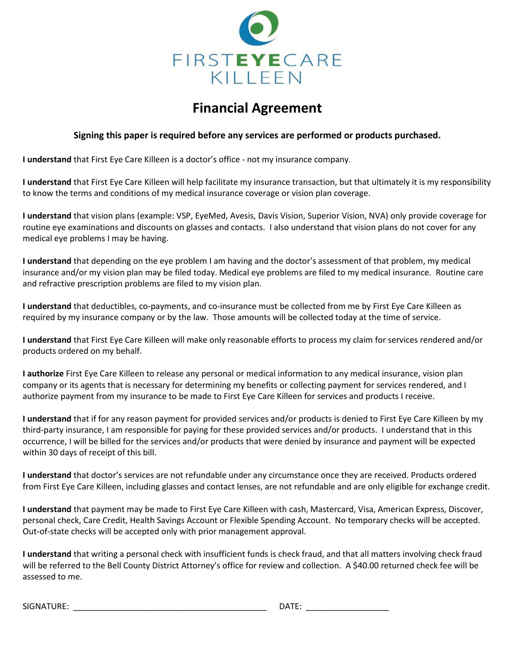

## **Financial Agreement**

## **Signing this paper is required before any services are performed or products purchased.**

**I understand** that First Eye Care Killeen is a doctor's office - not my insurance company.

**I understand** that First Eye Care Killeen will help facilitate my insurance transaction, but that ultimately it is my responsibility to know the terms and conditions of my medical insurance coverage or vision plan coverage.

**I understand** that vision plans (example: VSP, EyeMed, Avesis, Davis Vision, Superior Vision, NVA) only provide coverage for routine eye examinations and discounts on glasses and contacts. I also understand that vision plans do not cover for any medical eye problems I may be having.

**I understand** that depending on the eye problem I am having and the doctor's assessment of that problem, my medical insurance and/or my vision plan may be filed today. Medical eye problems are filed to my medical insurance. Routine care and refractive prescription problems are filed to my vision plan.

**I understand** that deductibles, co-payments, and co-insurance must be collected from me by First Eye Care Killeen as required by my insurance company or by the law. Those amounts will be collected today at the time of service.

**I understand** that First Eye Care Killeen will make only reasonable efforts to process my claim for services rendered and/or products ordered on my behalf.

**I authorize** First Eye Care Killeen to release any personal or medical information to any medical insurance, vision plan company or its agents that is necessary for determining my benefits or collecting payment for services rendered, and I authorize payment from my insurance to be made to First Eye Care Killeen for services and products I receive.

**I understand** that if for any reason payment for provided services and/or products is denied to First Eye Care Killeen by my third-party insurance, I am responsible for paying for these provided services and/or products. I understand that in this occurrence, I will be billed for the services and/or products that were denied by insurance and payment will be expected within 30 days of receipt of this bill.

**I understand** that doctor's services are not refundable under any circumstance once they are received. Products ordered from First Eye Care Killeen, including glasses and contact lenses, are not refundable and are only eligible for exchange credit.

**I understand** that payment may be made to First Eye Care Killeen with cash, Mastercard, Visa, American Express, Discover, personal check, Care Credit, Health Savings Account or Flexible Spending Account. No temporary checks will be accepted. Out-of-state checks will be accepted only with prior management approval.

**I understand** that writing a personal check with insufficient funds is check fraud, and that all matters involving check fraud will be referred to the Bell County District Attorney's office for review and collection. A \$40.00 returned check fee will be assessed to me.

 $\mathsf{DATE}\colon\thinspace\blacksquare$ 

| SIGNATURE: |  |
|------------|--|
|            |  |